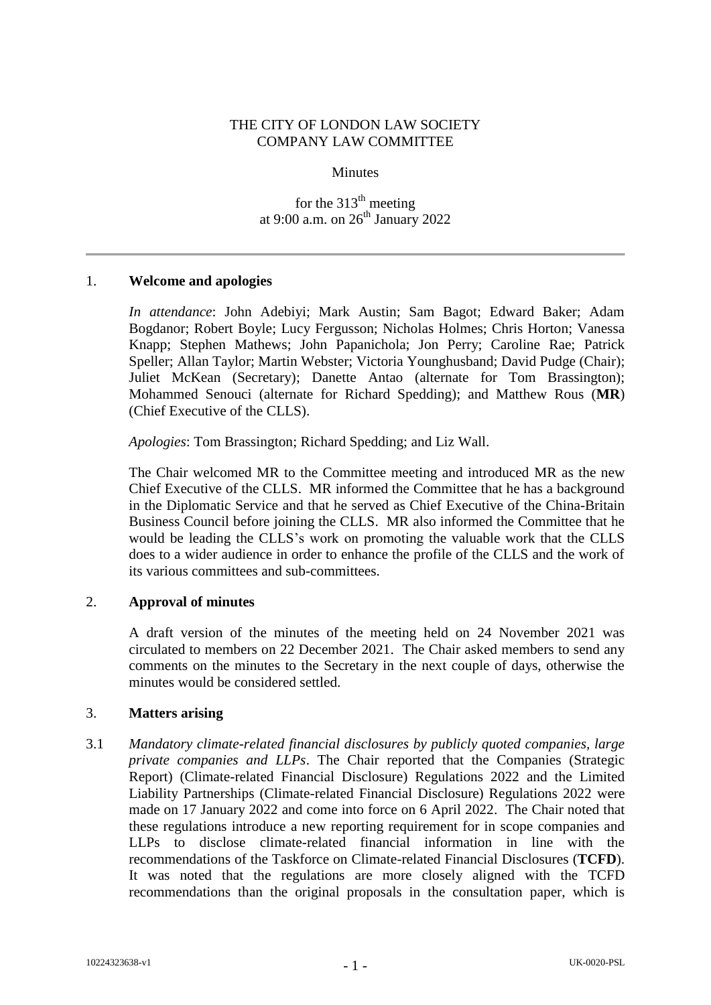### THE CITY OF LONDON LAW SOCIETY COMPANY LAW COMMITTEE

#### **Minutes**

for the  $313<sup>th</sup>$  meeting at 9:00 a.m. on  $26^{th}$  January 2022

### 1. **Welcome and apologies**

*In attendance*: John Adebiyi; Mark Austin; Sam Bagot; Edward Baker; Adam Bogdanor; Robert Boyle; Lucy Fergusson; Nicholas Holmes; Chris Horton; Vanessa Knapp; Stephen Mathews; John Papanichola; Jon Perry; Caroline Rae; Patrick Speller; Allan Taylor; Martin Webster; Victoria Younghusband; David Pudge (Chair); Juliet McKean (Secretary); Danette Antao (alternate for Tom Brassington); Mohammed Senouci (alternate for Richard Spedding); and Matthew Rous (**MR**) (Chief Executive of the CLLS).

*Apologies*: Tom Brassington; Richard Spedding; and Liz Wall.

The Chair welcomed MR to the Committee meeting and introduced MR as the new Chief Executive of the CLLS. MR informed the Committee that he has a background in the Diplomatic Service and that he served as Chief Executive of the China-Britain Business Council before joining the CLLS. MR also informed the Committee that he would be leading the CLLS's work on promoting the valuable work that the CLLS does to a wider audience in order to enhance the profile of the CLLS and the work of its various committees and sub-committees.

# 2. **Approval of minutes**

A draft version of the minutes of the meeting held on 24 November 2021 was circulated to members on 22 December 2021. The Chair asked members to send any comments on the minutes to the Secretary in the next couple of days, otherwise the minutes would be considered settled.

### 3. **Matters arising**

3.1 *Mandatory climate-related financial disclosures by publicly quoted companies, large private companies and LLPs*. The Chair reported that the Companies (Strategic Report) (Climate-related Financial Disclosure) Regulations 2022 and the Limited Liability Partnerships (Climate-related Financial Disclosure) Regulations 2022 were made on 17 January 2022 and come into force on 6 April 2022. The Chair noted that these regulations introduce a new reporting requirement for in scope companies and LLPs to disclose climate-related financial information in line with the recommendations of the Taskforce on Climate-related Financial Disclosures (**TCFD**). It was noted that the regulations are more closely aligned with the TCFD recommendations than the original proposals in the consultation paper, which is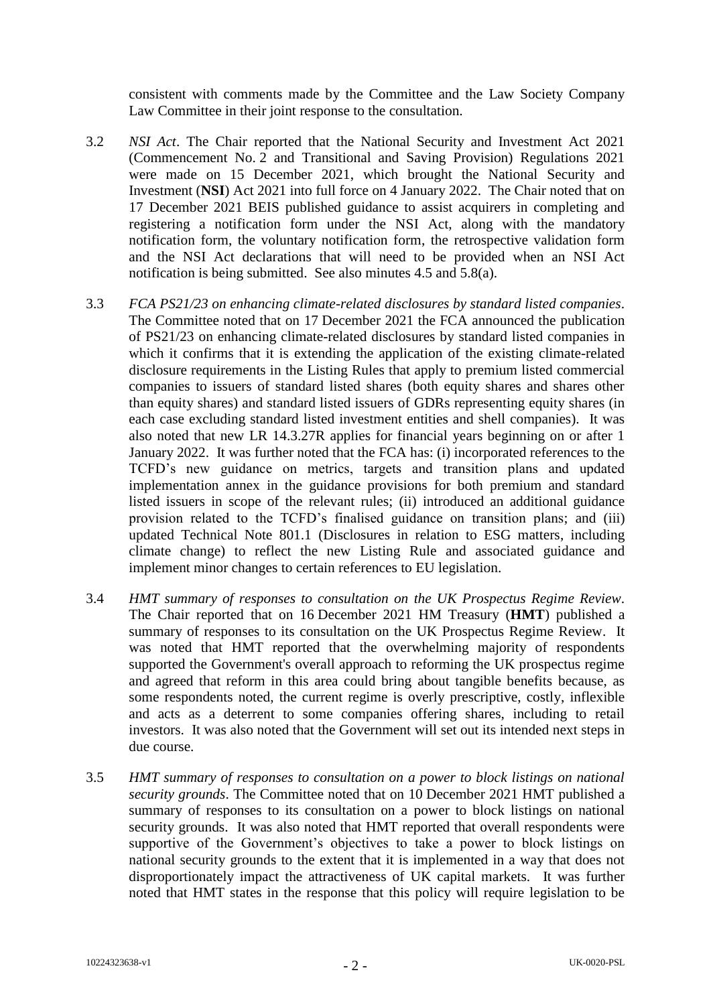consistent with comments made by the Committee and the Law Society Company Law Committee in their joint response to the consultation.

- 3.2 *NSI Act*. The Chair reported that the National Security and Investment Act 2021 (Commencement No. 2 and Transitional and Saving Provision) Regulations 2021 were made on 15 December 2021, which brought the National Security and Investment (**NSI**) Act 2021 into full force on 4 January 2022. The Chair noted that on 17 December 2021 BEIS published guidance to assist acquirers in completing and registering a notification form under the NSI Act, along with the mandatory notification form, the voluntary notification form, the retrospective validation form and the NSI Act declarations that will need to be provided when an NSI Act notification is being submitted. See also minutes 4.5 and 5.8(a).
- 3.3 *FCA PS21/23 on enhancing climate-related disclosures by standard listed companies*. The Committee noted that on 17 December 2021 the FCA announced the publication of PS21/23 on enhancing climate-related disclosures by standard listed companies in which it confirms that it is extending the application of the existing climate-related disclosure requirements in the Listing Rules that apply to premium listed commercial companies to issuers of standard listed shares (both equity shares and shares other than equity shares) and standard listed issuers of GDRs representing equity shares (in each case excluding standard listed investment entities and shell companies). It was also noted that new LR 14.3.27R applies for financial years beginning on or after 1 January 2022. It was further noted that the FCA has: (i) incorporated references to the TCFD's new guidance on metrics, targets and transition plans and updated implementation annex in the guidance provisions for both premium and standard listed issuers in scope of the relevant rules; (ii) introduced an additional guidance provision related to the TCFD's finalised guidance on transition plans; and (iii) updated Technical Note 801.1 (Disclosures in relation to ESG matters, including climate change) to reflect the new Listing Rule and associated guidance and implement minor changes to certain references to EU legislation.
- 3.4 *HMT summary of responses to consultation on the UK Prospectus Regime Review*. The Chair reported that on 16 December 2021 HM Treasury (**HMT**) published a summary of responses to its consultation on the UK Prospectus Regime Review. It was noted that HMT reported that the overwhelming majority of respondents supported the Government's overall approach to reforming the UK prospectus regime and agreed that reform in this area could bring about tangible benefits because, as some respondents noted, the current regime is overly prescriptive, costly, inflexible and acts as a deterrent to some companies offering shares, including to retail investors. It was also noted that the Government will set out its intended next steps in due course.
- 3.5 *HMT summary of responses to consultation on a power to block listings on national security grounds*. The Committee noted that on 10 December 2021 HMT published a summary of responses to its consultation on a power to block listings on national security grounds. It was also noted that HMT reported that overall respondents were supportive of the Government's objectives to take a power to block listings on national security grounds to the extent that it is implemented in a way that does not disproportionately impact the attractiveness of UK capital markets. It was further noted that HMT states in the response that this policy will require legislation to be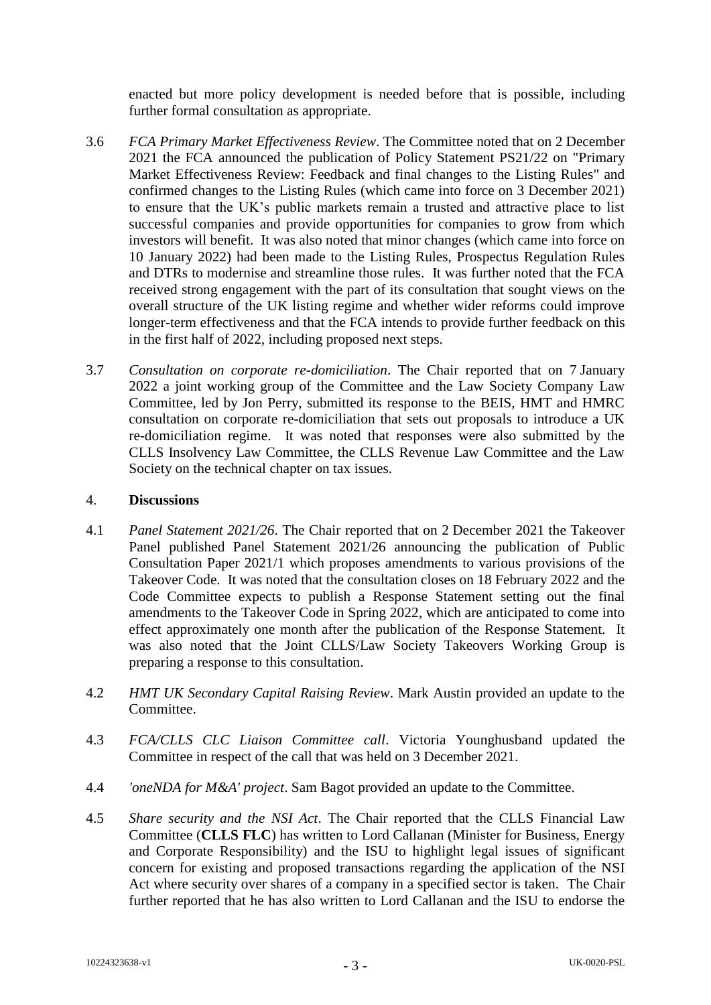enacted but more policy development is needed before that is possible, including further formal consultation as appropriate.

- 3.6 *FCA Primary Market Effectiveness Review*. The Committee noted that on 2 December 2021 the FCA announced the publication of Policy Statement PS21/22 on "Primary Market Effectiveness Review: Feedback and final changes to the Listing Rules" and confirmed changes to the Listing Rules (which came into force on 3 December 2021) to ensure that the UK's public markets remain a trusted and attractive place to list successful companies and provide opportunities for companies to grow from which investors will benefit. It was also noted that minor changes (which came into force on 10 January 2022) had been made to the Listing Rules, Prospectus Regulation Rules and DTRs to modernise and streamline those rules. It was further noted that the FCA received strong engagement with the part of its consultation that sought views on the overall structure of the UK listing regime and whether wider reforms could improve longer-term effectiveness and that the FCA intends to provide further feedback on this in the first half of 2022, including proposed next steps.
- 3.7 *Consultation on corporate re-domiciliation*. The Chair reported that on 7 January 2022 a joint working group of the Committee and the Law Society Company Law Committee, led by Jon Perry, submitted its response to the BEIS, HMT and HMRC consultation on corporate re-domiciliation that sets out proposals to introduce a UK re-domiciliation regime. It was noted that responses were also submitted by the CLLS Insolvency Law Committee, the CLLS Revenue Law Committee and the Law Society on the technical chapter on tax issues.

# 4. **Discussions**

- 4.1 *Panel Statement 2021/26*. The Chair reported that on 2 December 2021 the Takeover Panel published Panel Statement 2021/26 announcing the publication of Public Consultation Paper 2021/1 which proposes amendments to various provisions of the Takeover Code. It was noted that the consultation closes on 18 February 2022 and the Code Committee expects to publish a Response Statement setting out the final amendments to the Takeover Code in Spring 2022, which are anticipated to come into effect approximately one month after the publication of the Response Statement. It was also noted that the Joint CLLS/Law Society Takeovers Working Group is preparing a response to this consultation.
- 4.2 *HMT UK Secondary Capital Raising Review*. Mark Austin provided an update to the Committee.
- 4.3 *FCA/CLLS CLC Liaison Committee call*. Victoria Younghusband updated the Committee in respect of the call that was held on 3 December 2021.
- 4.4 *'oneNDA for M&A' project*. Sam Bagot provided an update to the Committee.
- 4.5 *Share security and the NSI Act*. The Chair reported that the CLLS Financial Law Committee (**CLLS FLC**) has written to Lord Callanan (Minister for Business, Energy and Corporate Responsibility) and the ISU to highlight legal issues of significant concern for existing and proposed transactions regarding the application of the NSI Act where security over shares of a company in a specified sector is taken. The Chair further reported that he has also written to Lord Callanan and the ISU to endorse the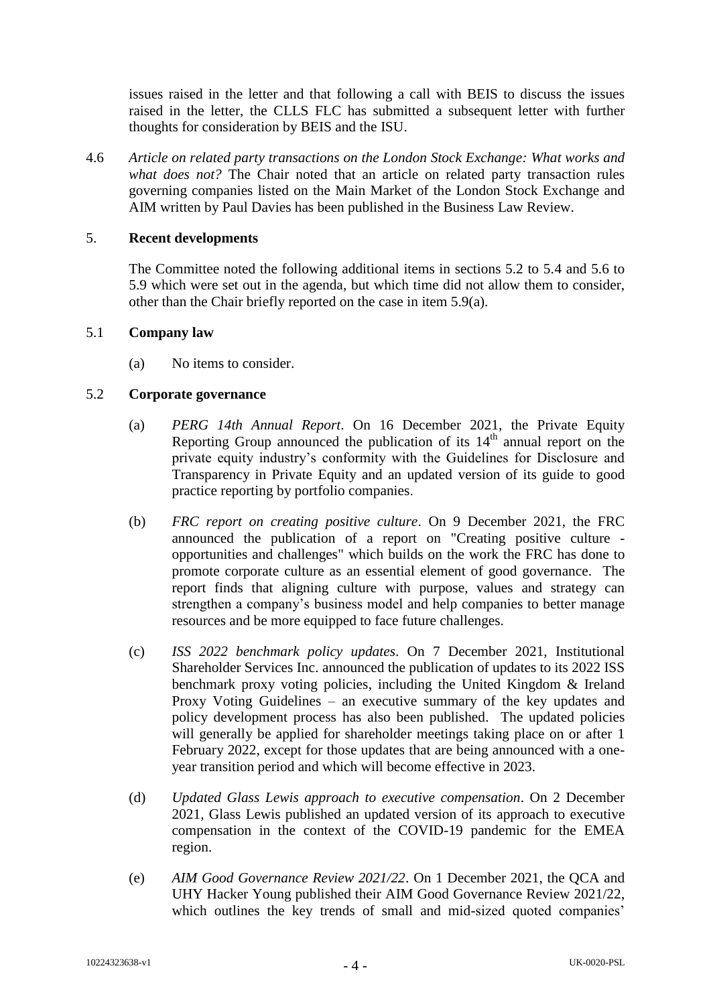issues raised in the letter and that following a call with BEIS to discuss the issues raised in the letter, the CLLS FLC has submitted a subsequent letter with further thoughts for consideration by BEIS and the ISU.

4.6 *Article on related party transactions on the London Stock Exchange: What works and what does not?* The Chair noted that an article on related party transaction rules governing companies listed on the Main Market of the London Stock Exchange and AIM written by Paul Davies has been published in the Business Law Review.

### 5. **Recent developments**

The Committee noted the following additional items in sections 5.2 to 5.4 and 5.6 to 5.9 which were set out in the agenda, but which time did not allow them to consider, other than the Chair briefly reported on the case in item 5.9(a).

### 5.1 **Company law**

(a) No items to consider.

# 5.2 **Corporate governance**

- (a) *PERG 14th Annual Report*. On 16 December 2021, the Private Equity Reporting Group announced the publication of its  $14<sup>th</sup>$  annual report on the private equity industry's conformity with the Guidelines for Disclosure and Transparency in Private Equity and an updated version of its guide to good practice reporting by portfolio companies.
- (b) *FRC report on creating positive culture*. On 9 December 2021, the FRC announced the publication of a report on "Creating positive culture opportunities and challenges" which builds on the work the FRC has done to promote corporate culture as an essential element of good governance. The report finds that aligning culture with purpose, values and strategy can strengthen a company's business model and help companies to better manage resources and be more equipped to face future challenges.
- (c) *ISS 2022 benchmark policy updates*. On 7 December 2021, Institutional Shareholder Services Inc. announced the publication of updates to its 2022 ISS benchmark proxy voting policies, including the United Kingdom & Ireland Proxy Voting Guidelines – an executive summary of the key updates and policy development process has also been published. The updated policies will generally be applied for shareholder meetings taking place on or after 1 February 2022, except for those updates that are being announced with a oneyear transition period and which will become effective in 2023.
- (d) *Updated Glass Lewis approach to executive compensation*. On 2 December 2021, Glass Lewis published an updated version of its approach to executive compensation in the context of the COVID-19 pandemic for the EMEA region.
- (e) *AIM Good Governance Review 2021/22*. On 1 December 2021, the QCA and UHY Hacker Young published their AIM Good Governance Review 2021/22, which outlines the key trends of small and mid-sized quoted companies'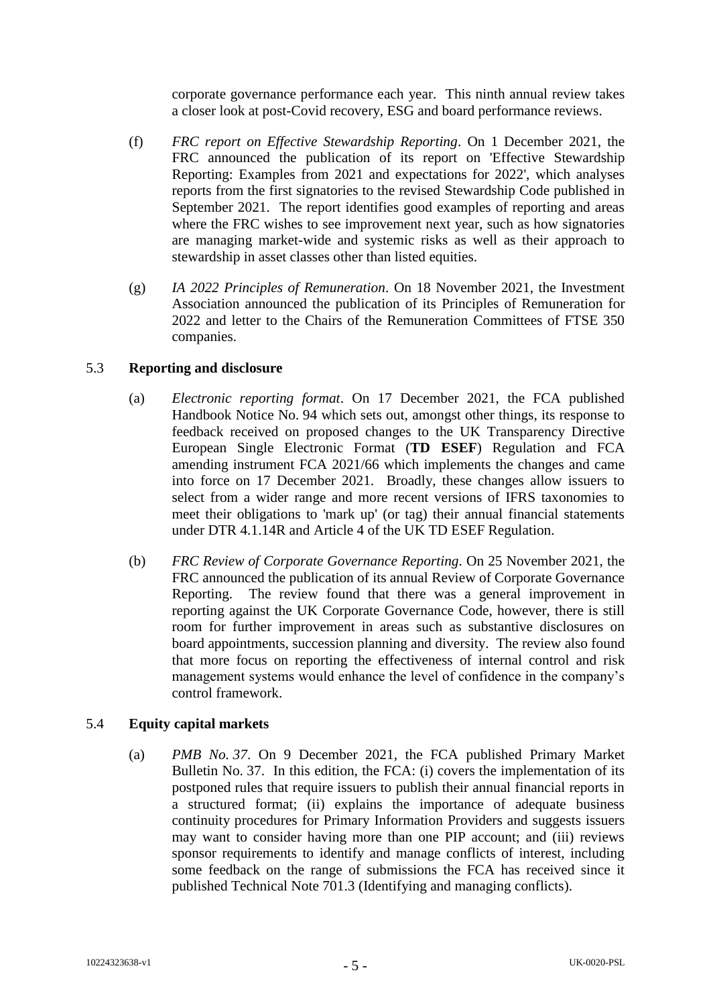corporate governance performance each year. This ninth annual review takes a closer look at post-Covid recovery, ESG and board performance reviews.

- (f) *FRC report on Effective Stewardship Reporting*. On 1 December 2021, the FRC announced the publication of its report on 'Effective Stewardship Reporting: Examples from 2021 and expectations for 2022', which analyses reports from the first signatories to the revised Stewardship Code published in September 2021. The report identifies good examples of reporting and areas where the FRC wishes to see improvement next year, such as how signatories are managing market-wide and systemic risks as well as their approach to stewardship in asset classes other than listed equities.
- (g) *IA 2022 Principles of Remuneration*. On 18 November 2021, the Investment Association announced the publication of its Principles of Remuneration for 2022 and letter to the Chairs of the Remuneration Committees of FTSE 350 companies.

# 5.3 **Reporting and disclosure**

- (a) *Electronic reporting format*. On 17 December 2021, the FCA published Handbook Notice No. 94 which sets out, amongst other things, its response to feedback received on proposed changes to the UK Transparency Directive European Single Electronic Format (**TD ESEF**) Regulation and FCA amending instrument FCA 2021/66 which implements the changes and came into force on 17 December 2021. Broadly, these changes allow issuers to select from a wider range and more recent versions of IFRS taxonomies to meet their obligations to 'mark up' (or tag) their annual financial statements under DTR 4.1.14R and Article 4 of the UK TD ESEF Regulation.
- (b) *FRC Review of Corporate Governance Reporting*. On 25 November 2021, the FRC announced the publication of its annual Review of Corporate Governance Reporting. The review found that there was a general improvement in reporting against the UK Corporate Governance Code, however, there is still room for further improvement in areas such as substantive disclosures on board appointments, succession planning and diversity. The review also found that more focus on reporting the effectiveness of internal control and risk management systems would enhance the level of confidence in the company's control framework.

### 5.4 **Equity capital markets**

(a) *PMB No. 37*. On 9 December 2021, the FCA published Primary Market Bulletin No. 37. In this edition, the FCA: (i) covers the implementation of its postponed rules that require issuers to publish their annual financial reports in a structured format; (ii) explains the importance of adequate business continuity procedures for Primary Information Providers and suggests issuers may want to consider having more than one PIP account; and (iii) reviews sponsor requirements to identify and manage conflicts of interest, including some feedback on the range of submissions the FCA has received since it published Technical Note 701.3 (Identifying and managing conflicts).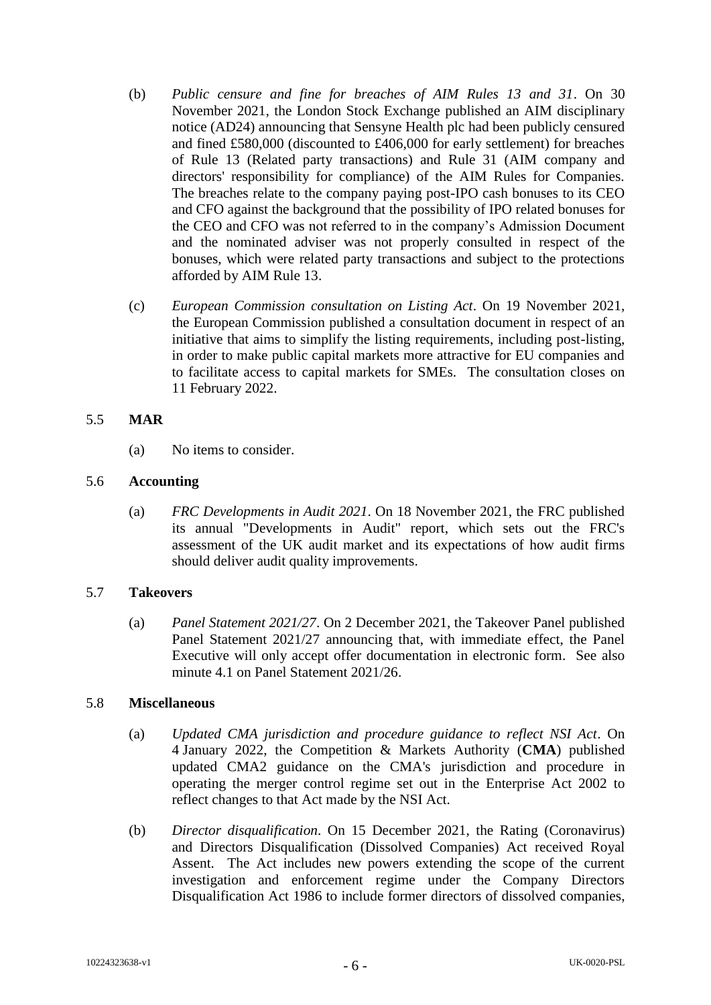- (b) *Public censure and fine for breaches of AIM Rules 13 and 31*. On 30 November 2021, the London Stock Exchange published an AIM disciplinary notice (AD24) announcing that Sensyne Health plc had been publicly censured and fined £580,000 (discounted to £406,000 for early settlement) for breaches of Rule 13 (Related party transactions) and Rule 31 (AIM company and directors' responsibility for compliance) of the AIM Rules for Companies. The breaches relate to the company paying post-IPO cash bonuses to its CEO and CFO against the background that the possibility of IPO related bonuses for the CEO and CFO was not referred to in the company's Admission Document and the nominated adviser was not properly consulted in respect of the bonuses, which were related party transactions and subject to the protections afforded by AIM Rule 13.
- (c) *European Commission consultation on Listing Act*. On 19 November 2021, the European Commission published a consultation document in respect of an initiative that aims to simplify the listing requirements, including post-listing, in order to make public capital markets more attractive for EU companies and to facilitate access to capital markets for SMEs. The consultation closes on 11 February 2022.

# 5.5 **MAR**

(a) No items to consider.

# 5.6 **Accounting**

(a) *FRC Developments in Audit 2021*. On 18 November 2021, the FRC published its annual "Developments in Audit" report, which sets out the FRC's assessment of the UK audit market and its expectations of how audit firms should deliver audit quality improvements.

### 5.7 **Takeovers**

(a) *Panel Statement 2021/27*. On 2 December 2021, the Takeover Panel published Panel Statement 2021/27 announcing that, with immediate effect, the Panel Executive will only accept offer documentation in electronic form. See also minute 4.1 on Panel Statement 2021/26.

### 5.8 **Miscellaneous**

- (a) *Updated CMA jurisdiction and procedure guidance to reflect NSI Act*. On 4 January 2022, the Competition & Markets Authority (**CMA**) published updated CMA2 guidance on the CMA's jurisdiction and procedure in operating the merger control regime set out in the Enterprise Act 2002 to reflect changes to that Act made by the NSI Act.
- (b) *Director disqualification*. On 15 December 2021, the Rating (Coronavirus) and Directors Disqualification (Dissolved Companies) Act received Royal Assent. The Act includes new powers extending the scope of the current investigation and enforcement regime under the Company Directors Disqualification Act 1986 to include former directors of dissolved companies,